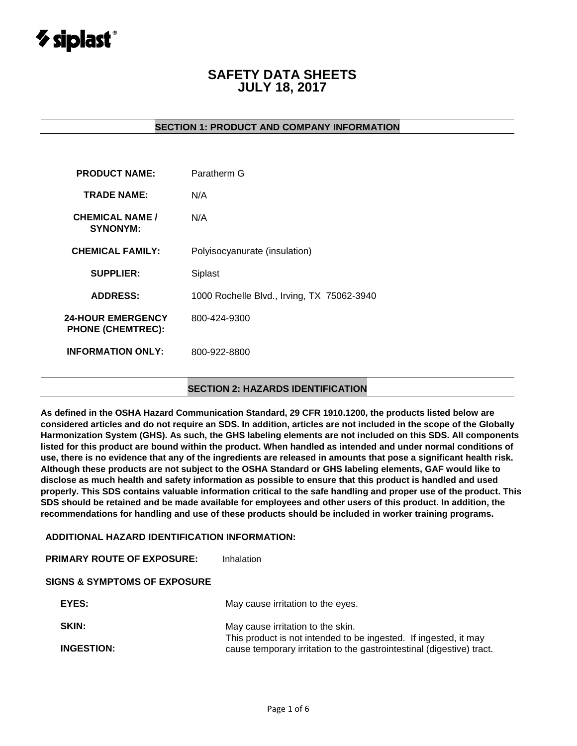# $\gamma$  siplast $^{\circ}$

# **SAFETY DATA SHEETS JULY 18, 2017**

### **SECTION 1: PRODUCT AND COMPANY INFORMATION**

| <b>PRODUCT NAME:</b>                                 | Paratherm G                                |
|------------------------------------------------------|--------------------------------------------|
| <b>TRADE NAME:</b>                                   | N/A                                        |
| <b>CHEMICAL NAME /</b><br><b>SYNONYM:</b>            | N/A                                        |
| <b>CHEMICAL FAMILY:</b>                              | Polyisocyanurate (insulation)              |
| <b>SUPPLIER:</b>                                     | Siplast                                    |
| <b>ADDRESS:</b>                                      | 1000 Rochelle Blvd., Irving, TX 75062-3940 |
| <b>24-HOUR EMERGENCY</b><br><b>PHONE (CHEMTREC):</b> | 800-424-9300                               |
| <b>INFORMATION ONLY:</b>                             | 800-922-8800                               |
|                                                      |                                            |

#### **SECTION 2: HAZARDS IDENTIFICATION**

**As defined in the OSHA Hazard Communication Standard, 29 CFR 1910.1200, the products listed below are considered articles and do not require an SDS. In addition, articles are not included in the scope of the Globally Harmonization System (GHS). As such, the GHS labeling elements are not included on this SDS. All components listed for this product are bound within the product. When handled as intended and under normal conditions of use, there is no evidence that any of the ingredients are released in amounts that pose a significant health risk. Although these products are not subject to the OSHA Standard or GHS labeling elements, GAF would like to disclose as much health and safety information as possible to ensure that this product is handled and used properly. This SDS contains valuable information critical to the safe handling and proper use of the product. This SDS should be retained and be made available for employees and other users of this product. In addition, the recommendations for handling and use of these products should be included in worker training programs.**

#### **ADDITIONAL HAZARD IDENTIFICATION INFORMATION:**

| <b>PRIMARY ROUTE OF EXPOSURE:</b>       | Inhalation                                                                                                                                |
|-----------------------------------------|-------------------------------------------------------------------------------------------------------------------------------------------|
| <b>SIGNS &amp; SYMPTOMS OF EXPOSURE</b> |                                                                                                                                           |
| EYES:                                   | May cause irritation to the eyes.                                                                                                         |
| SKIN:                                   | May cause irritation to the skin.                                                                                                         |
| <b>INGESTION:</b>                       | This product is not intended to be ingested. If ingested, it may<br>cause temporary irritation to the gastrointestinal (digestive) tract. |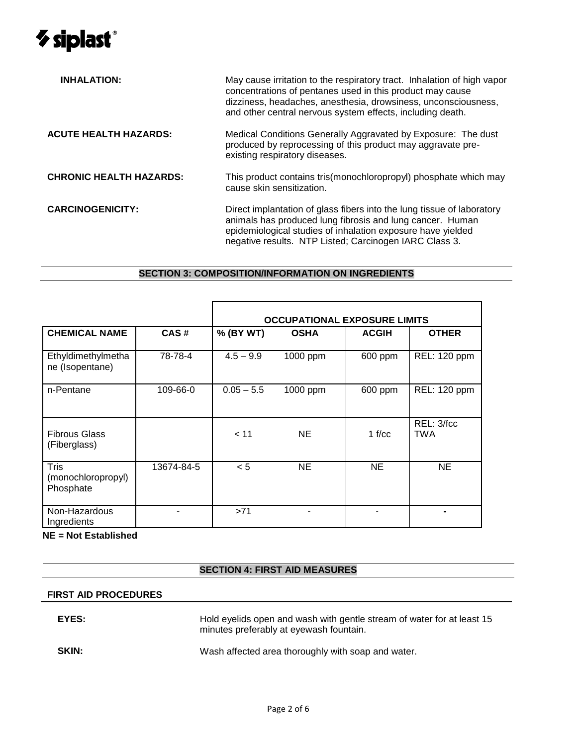

| <b>INHALATION:</b>             | May cause irritation to the respiratory tract. Inhalation of high vapor<br>concentrations of pentanes used in this product may cause<br>dizziness, headaches, anesthesia, drowsiness, unconsciousness,<br>and other central nervous system effects, including death. |  |  |  |  |  |  |
|--------------------------------|----------------------------------------------------------------------------------------------------------------------------------------------------------------------------------------------------------------------------------------------------------------------|--|--|--|--|--|--|
| <b>ACUTE HEALTH HAZARDS:</b>   | Medical Conditions Generally Aggravated by Exposure: The dust<br>produced by reprocessing of this product may aggravate pre-<br>existing respiratory diseases.                                                                                                       |  |  |  |  |  |  |
| <b>CHRONIC HEALTH HAZARDS:</b> | This product contains tris(monochloropropyl) phosphate which may<br>cause skin sensitization.                                                                                                                                                                        |  |  |  |  |  |  |
| <b>CARCINOGENICITY:</b>        | Direct implantation of glass fibers into the lung tissue of laboratory<br>animals has produced lung fibrosis and lung cancer. Human<br>epidemiological studies of inhalation exposure have yielded<br>negative results. NTP Listed; Carcinogen IARC Class 3.         |  |  |  |  |  |  |

## **SECTION 3: COMPOSITION/INFORMATION ON INGREDIENTS**

|                                                |            | <b>OCCUPATIONAL EXPOSURE LIMITS</b> |             |              |                          |  |
|------------------------------------------------|------------|-------------------------------------|-------------|--------------|--------------------------|--|
| <b>CHEMICAL NAME</b>                           | CAS#       | % (BY WT)                           | <b>OSHA</b> | <b>ACGIH</b> | <b>OTHER</b>             |  |
| Ethyldimethylmetha<br>ne (Isopentane)          | 78-78-4    | $4.5 - 9.9$                         | 1000 ppm    | 600 ppm      | REL: 120 ppm             |  |
| n-Pentane                                      | 109-66-0   | $0.05 - 5.5$                        | 1000 ppm    | 600 ppm      | REL: 120 ppm             |  |
| <b>Fibrous Glass</b><br>(Fiberglass)           |            | < 11                                | <b>NE</b>   | 1 $f/cc$     | REL: 3/fcc<br><b>TWA</b> |  |
| <b>Tris</b><br>(monochloropropyl)<br>Phosphate | 13674-84-5 | < 5                                 | <b>NE</b>   | <b>NE</b>    | NE                       |  |
| Non-Hazardous<br>Ingredients                   |            | >71                                 | ٠           |              |                          |  |

**NE = Not Established**

## **SECTION 4: FIRST AID MEASURES**

#### **FIRST AID PROCEDURES**

| EYES: | Hold eyelids open and wash with gentle stream of water for at least 15<br>minutes preferably at eyewash fountain. |
|-------|-------------------------------------------------------------------------------------------------------------------|
| SKIN: | Wash affected area thoroughly with soap and water.                                                                |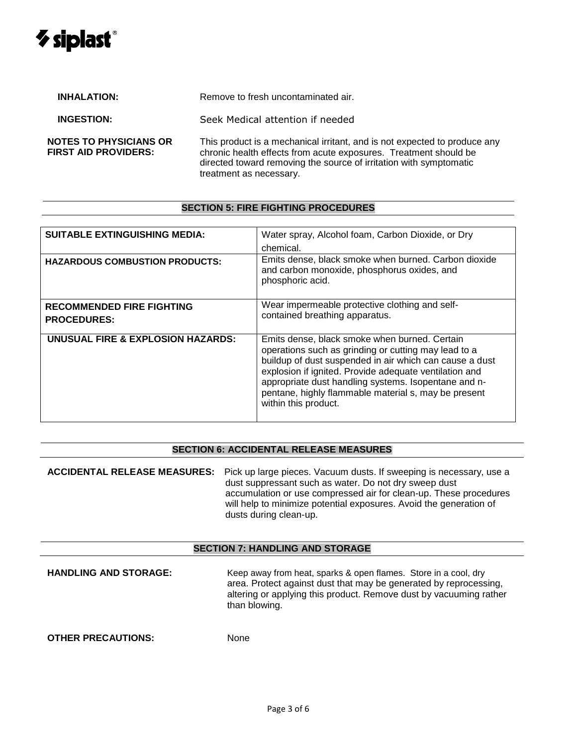# $\boldsymbol{\triangledown}$  siplast $^{\circ}$

| <b>INHALATION:</b>                                    | Remove to fresh uncontaminated air.                                                                                                                                                                                                            |
|-------------------------------------------------------|------------------------------------------------------------------------------------------------------------------------------------------------------------------------------------------------------------------------------------------------|
| <b>INGESTION:</b>                                     | Seek Medical attention if needed                                                                                                                                                                                                               |
| <b>NOTES TO PHYSICIANS OR</b><br>FIRST AID PROVIDERS: | This product is a mechanical irritant, and is not expected to produce any<br>chronic health effects from acute exposures. Treatment should be<br>directed toward removing the source of irritation with symptomatic<br>treatment as necessary. |

#### **SECTION 5: FIRE FIGHTING PROCEDURES**

| <b>SUITABLE EXTINGUISHING MEDIA:</b>                   | Water spray, Alcohol foam, Carbon Dioxide, or Dry<br>chemical.                                                                                                                                                                                                                                                                                                     |
|--------------------------------------------------------|--------------------------------------------------------------------------------------------------------------------------------------------------------------------------------------------------------------------------------------------------------------------------------------------------------------------------------------------------------------------|
| <b>HAZARDOUS COMBUSTION PRODUCTS:</b>                  | Emits dense, black smoke when burned. Carbon dioxide<br>and carbon monoxide, phosphorus oxides, and<br>phosphoric acid.                                                                                                                                                                                                                                            |
| <b>RECOMMENDED FIRE FIGHTING</b><br><b>PROCEDURES:</b> | Wear impermeable protective clothing and self-<br>contained breathing apparatus.                                                                                                                                                                                                                                                                                   |
| UNUSUAL FIRE & EXPLOSION HAZARDS:                      | Emits dense, black smoke when burned. Certain<br>operations such as grinding or cutting may lead to a<br>buildup of dust suspended in air which can cause a dust<br>explosion if ignited. Provide adequate ventilation and<br>appropriate dust handling systems. Isopentane and n-<br>pentane, highly flammable material s, may be present<br>within this product. |

#### **SECTION 6: ACCIDENTAL RELEASE MEASURES**

**ACCIDENTAL RELEASE MEASURES:** Pick up large pieces. Vacuum dusts. If sweeping is necessary, use a dust suppressant such as water. Do not dry sweep dust accumulation or use compressed air for clean-up. These procedures will help to minimize potential exposures. Avoid the generation of dusts during clean-up.

#### **SECTION 7: HANDLING AND STORAGE**

**HANDLING AND STORAGE:** Keep away from heat, sparks & open flames. Store in a cool, dry area. Protect against dust that may be generated by reprocessing, altering or applying this product. Remove dust by vacuuming rather than blowing.

**OTHER PRECAUTIONS:** None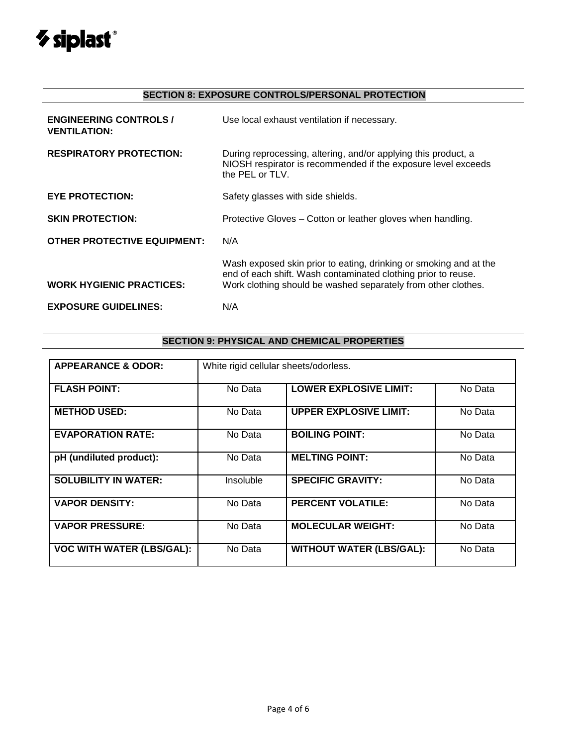

# **SECTION 8: EXPOSURE CONTROLS/PERSONAL PROTECTION**

| <b>ENGINEERING CONTROLS /</b><br><b>VENTILATION:</b> | Use local exhaust ventilation if necessary.                                                                                                                                                         |
|------------------------------------------------------|-----------------------------------------------------------------------------------------------------------------------------------------------------------------------------------------------------|
| <b>RESPIRATORY PROTECTION:</b>                       | During reprocessing, altering, and/or applying this product, a<br>NIOSH respirator is recommended if the exposure level exceeds<br>the PEL or TLV.                                                  |
| <b>EYE PROTECTION:</b>                               | Safety glasses with side shields.                                                                                                                                                                   |
| <b>SKIN PROTECTION:</b>                              | Protective Gloves – Cotton or leather gloves when handling.                                                                                                                                         |
| <b>OTHER PROTECTIVE EQUIPMENT:</b>                   | N/A                                                                                                                                                                                                 |
| <b>WORK HYGIENIC PRACTICES:</b>                      | Wash exposed skin prior to eating, drinking or smoking and at the<br>end of each shift. Wash contaminated clothing prior to reuse.<br>Work clothing should be washed separately from other clothes. |
| <b>EXPOSURE GUIDELINES:</b>                          | N/A                                                                                                                                                                                                 |

## **SECTION 9: PHYSICAL AND CHEMICAL PROPERTIES**

| <b>APPEARANCE &amp; ODOR:</b>    | White rigid cellular sheets/odorless. |                                 |         |  |  |
|----------------------------------|---------------------------------------|---------------------------------|---------|--|--|
| <b>FLASH POINT:</b>              | No Data                               | <b>LOWER EXPLOSIVE LIMIT:</b>   | No Data |  |  |
| <b>METHOD USED:</b>              | No Data                               | <b>UPPER EXPLOSIVE LIMIT:</b>   | No Data |  |  |
| <b>EVAPORATION RATE:</b>         | No Data                               | <b>BOILING POINT:</b>           | No Data |  |  |
| pH (undiluted product):          | No Data                               | <b>MELTING POINT:</b>           | No Data |  |  |
| <b>SOLUBILITY IN WATER:</b>      | Insoluble                             | <b>SPECIFIC GRAVITY:</b>        | No Data |  |  |
| <b>VAPOR DENSITY:</b>            | No Data                               | <b>PERCENT VOLATILE:</b>        | No Data |  |  |
| <b>VAPOR PRESSURE:</b>           | No Data                               | <b>MOLECULAR WEIGHT:</b>        | No Data |  |  |
| <b>VOC WITH WATER (LBS/GAL):</b> | No Data                               | <b>WITHOUT WATER (LBS/GAL):</b> | No Data |  |  |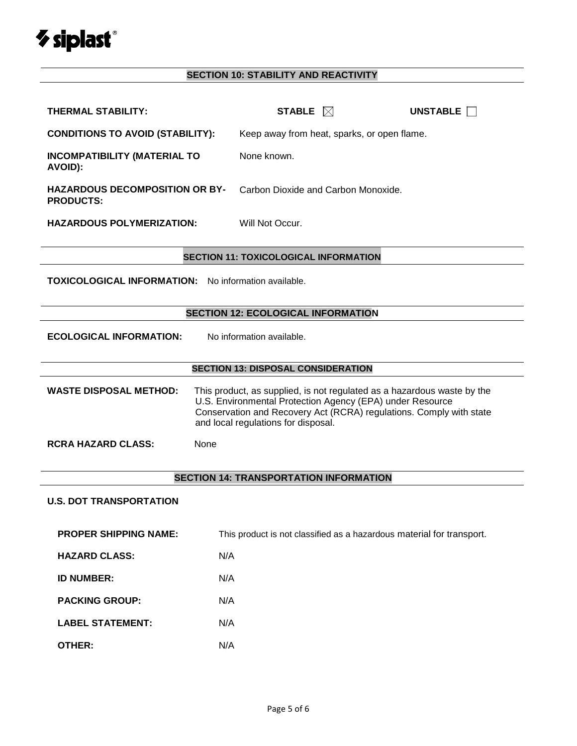

# **SECTION 10: STABILITY AND REACTIVITY**

| <b>THERMAL STABILITY:</b>                                   | STABLE $\boxtimes$                                                                                                                                                                                                                                 | UNSTABLE |  |  |  |
|-------------------------------------------------------------|----------------------------------------------------------------------------------------------------------------------------------------------------------------------------------------------------------------------------------------------------|----------|--|--|--|
| <b>CONDITIONS TO AVOID (STABILITY):</b>                     | Keep away from heat, sparks, or open flame.                                                                                                                                                                                                        |          |  |  |  |
| <b>INCOMPATIBILITY (MATERIAL TO</b><br>AVOID):              | None known.                                                                                                                                                                                                                                        |          |  |  |  |
| <b>HAZARDOUS DECOMPOSITION OR BY-</b><br><b>PRODUCTS:</b>   | Carbon Dioxide and Carbon Monoxide.                                                                                                                                                                                                                |          |  |  |  |
| <b>HAZARDOUS POLYMERIZATION:</b>                            | Will Not Occur.                                                                                                                                                                                                                                    |          |  |  |  |
|                                                             | <b>SECTION 11: TOXICOLOGICAL INFORMATION</b>                                                                                                                                                                                                       |          |  |  |  |
| <b>TOXICOLOGICAL INFORMATION:</b> No information available. |                                                                                                                                                                                                                                                    |          |  |  |  |
|                                                             | <b>SECTION 12: ECOLOGICAL INFORMATION</b>                                                                                                                                                                                                          |          |  |  |  |
| <b>ECOLOGICAL INFORMATION:</b><br>No information available. |                                                                                                                                                                                                                                                    |          |  |  |  |
|                                                             | <b>SECTION 13: DISPOSAL CONSIDERATION</b>                                                                                                                                                                                                          |          |  |  |  |
| <b>WASTE DISPOSAL METHOD:</b>                               | This product, as supplied, is not regulated as a hazardous waste by the<br>U.S. Environmental Protection Agency (EPA) under Resource<br>Conservation and Recovery Act (RCRA) regulations. Comply with state<br>and local regulations for disposal. |          |  |  |  |
| <b>RCRA HAZARD CLASS:</b><br>None                           |                                                                                                                                                                                                                                                    |          |  |  |  |
|                                                             | <b>SECTION 14: TRANSPORTATION INFORMATION</b>                                                                                                                                                                                                      |          |  |  |  |
| <b>U.S. DOT TRANSPORTATION</b>                              |                                                                                                                                                                                                                                                    |          |  |  |  |
| <b>PROPER SHIPPING NAME:</b>                                | This product is not classified as a hazardous material for transport.                                                                                                                                                                              |          |  |  |  |
| <b>HAZARD CLASS:</b>                                        | N/A                                                                                                                                                                                                                                                |          |  |  |  |
| <b>ID NUMBER:</b>                                           | N/A                                                                                                                                                                                                                                                |          |  |  |  |
| <b>PACKING GROUP:</b>                                       | N/A                                                                                                                                                                                                                                                |          |  |  |  |
| <b>LABEL STATEMENT:</b>                                     | N/A                                                                                                                                                                                                                                                |          |  |  |  |
| <b>OTHER:</b>                                               | N/A                                                                                                                                                                                                                                                |          |  |  |  |